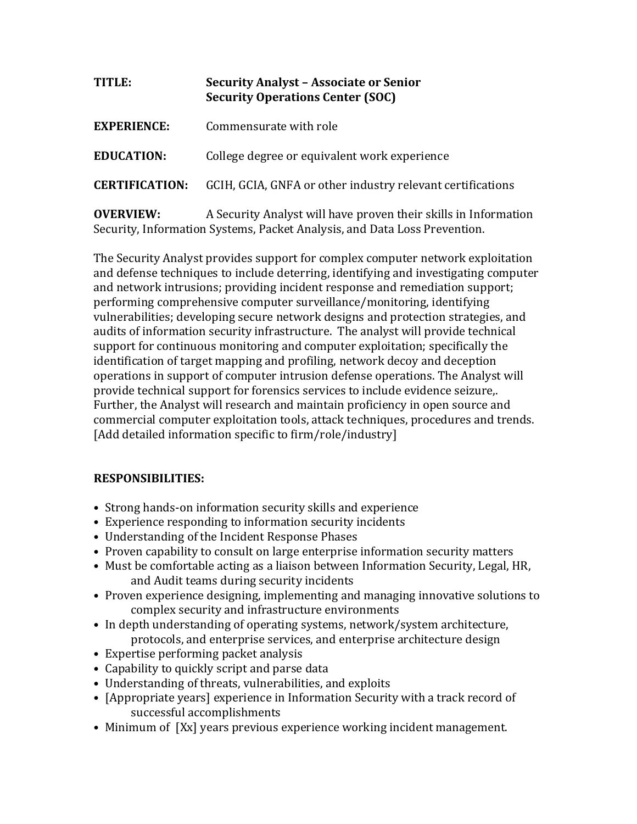| TITLE:                | <b>Security Analyst - Associate or Senior</b><br><b>Security Operations Center (SOC)</b> |
|-----------------------|------------------------------------------------------------------------------------------|
| <b>EXPERIENCE:</b>    | Commensurate with role                                                                   |
| <b>EDUCATION:</b>     | College degree or equivalent work experience                                             |
| <b>CERTIFICATION:</b> | GCIH, GCIA, GNFA or other industry relevant certifications                               |
| <b>OVERVIEW:</b>      | A Security Analyst will have proven their skills in Information                          |

Security, Information Systems, Packet Analysis, and Data Loss Prevention.

The Security Analyst provides support for complex computer network exploitation and defense techniques to include deterring, identifying and investigating computer and network intrusions; providing incident response and remediation support; performing comprehensive computer surveillance/monitoring, identifying vulnerabilities; developing secure network designs and protection strategies, and audits of information security infrastructure. The analyst will provide technical support for continuous monitoring and computer exploitation; specifically the identification of target mapping and profiling, network decoy and deception operations in support of computer intrusion defense operations. The Analyst will provide technical support for forensics services to include evidence seizure,. Further, the Analyst will research and maintain proficiency in open source and commercial computer exploitation tools, attack techniques, procedures and trends. [Add detailed information specific to firm/role/industry]

## **RESPONSIBILITIES:**

- Strong hands-on information security skills and experience
- Experience responding to information security incidents
- Understanding of the Incident Response Phases
- Proven capability to consult on large enterprise information security matters
- Must be comfortable acting as a liaison between Information Security, Legal, HR, and Audit teams during security incidents
- Proven experience designing, implementing and managing innovative solutions to complex security and infrastructure environments
- In depth understanding of operating systems, network/system architecture, protocols, and enterprise services, and enterprise architecture design
- Expertise performing packet analysis
- Capability to quickly script and parse data
- Understanding of threats, vulnerabilities, and exploits
- [Appropriate years] experience in Information Security with a track record of successful accomplishments
- Minimum of [Xx] years previous experience working incident management.